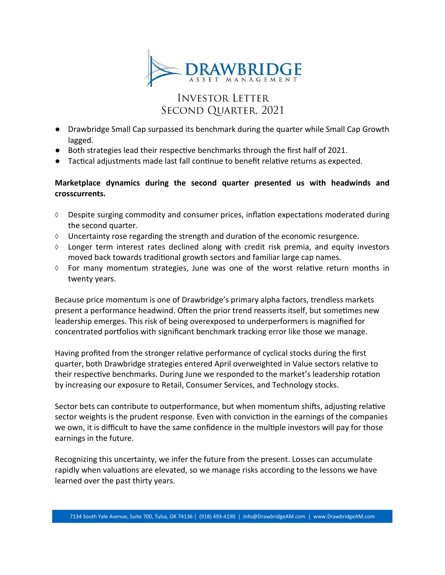

# **INVESTOR LETTER** SECOND QUARTER, 2021

- Drawbridge Small Cap surpassed its benchmark during the quarter while Small Cap Growth lagged.
- Both strategies lead their respective benchmarks through the first half of 2021.
- Tactical adjustments made last fall continue to benefit relative returns as expected.

### **Marketplace dynamics during the second quarter presented us with headwinds and crosscurrents.**

- $\lozenge$  Despite surging commodity and consumer prices, inflation expectations moderated during the second quarter.
- $\Diamond$  Uncertainty rose regarding the strength and duration of the economic resurgence.
- $\Diamond$  Longer term interest rates declined along with credit risk premia, and equity investors moved back towards traditional growth sectors and familiar large cap names.
- $\Diamond$  For many momentum strategies, June was one of the worst relative return months in twenty years.

Because price momentum is one of Drawbridge's primary alpha factors, trendless markets present a performance headwind. Often the prior trend reasserts itself, but sometimes new leadership emerges. This risk of being overexposed to underperformers is magnified for concentrated portfolios with significant benchmark tracking error like those we manage.

Having profited from the stronger relative performance of cyclical stocks during the first quarter, both Drawbridge strategies entered April overweighted in Value sectors relative to their respective benchmarks. During June we responded to the market's leadership rotation by increasing our exposure to Retail, Consumer Services, and Technology stocks.

Sector bets can contribute to outperformance, but when momentum shifts, adjusting relative sector weights is the prudent response. Even with conviction in the earnings of the companies we own, it is difficult to have the same confidence in the multiple investors will pay for those earnings in the future.

Recognizing this uncertainty, we infer the future from the present. Losses can accumulate rapidly when valuations are elevated, so we manage risks according to the lessons we have learned over the past thirty years.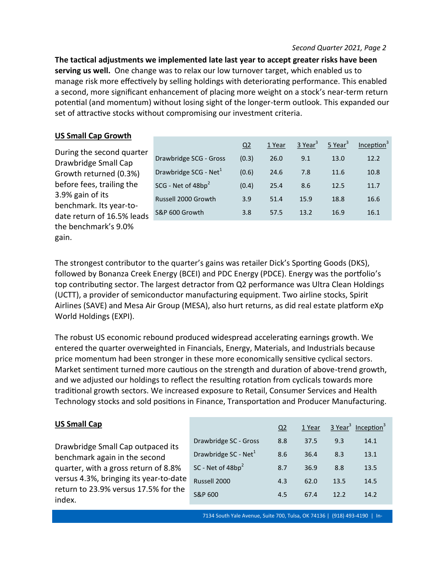**The tactical adjustments we implemented late last year to accept greater risks have been serving us well.** One change was to relax our low turnover target, which enabled us to manage risk more effectively by selling holdings with deteriorating performance. This enabled a second, more significant enhancement of placing more weight on a stock's near-term return potential (and momentum) without losing sight of the longer-term outlook. This expanded our set of attractive stocks without compromising our investment criteria.

|  | <b>US Small Cap Growth</b> |  |
|--|----------------------------|--|
|  |                            |  |

During the second quarter Drawbridge Small Cap Growth returned (0.3%) before fees, trailing the 3.9% gain of its benchmark. Its year-todate return of 16.5% leads the benchmark's 9.0% gain.

|                                   | Q <sub>2</sub> | 1 Year | $3$ Year <sup>3</sup> | $5$ Year <sup>3</sup> | Inception <sup>3</sup> |
|-----------------------------------|----------------|--------|-----------------------|-----------------------|------------------------|
| Drawbridge SCG - Gross            | (0.3)          | 26.0   | 9.1                   | 13.0                  | 12.2                   |
| Drawbridge SCG - Net <sup>1</sup> | (0.6)          | 24.6   | 7.8                   | 11.6                  | 10.8                   |
| SCG - Net of 48bp <sup>2</sup>    | (0.4)          | 25.4   | 8.6                   | 12.5                  | 11.7                   |
| Russell 2000 Growth               | 3.9            | 51.4   | 15.9                  | 18.8                  | 16.6                   |
| S&P 600 Growth                    | 3.8            | 57.5   | 13.2                  | 16.9                  | 16.1                   |

The strongest contributor to the quarter's gains was retailer Dick's Sporting Goods (DKS), followed by Bonanza Creek Energy (BCEI) and PDC Energy (PDCE). Energy was the portfolio's top contributing sector. The largest detractor from Q2 performance was Ultra Clean Holdings (UCTT), a provider of semiconductor manufacturing equipment. Two airline stocks, Spirit Airlines (SAVE) and Mesa Air Group (MESA), also hurt returns, as did real estate platform eXp World Holdings (EXPI).

The robust US economic rebound produced widespread accelerating earnings growth. We entered the quarter overweighted in Financials, Energy, Materials, and Industrials because price momentum had been stronger in these more economically sensitive cyclical sectors. Market sentiment turned more cautious on the strength and duration of above-trend growth, and we adjusted our holdings to reflect the resulting rotation from cyclicals towards more traditional growth sectors. We increased exposure to Retail, Consumer Services and Health Technology stocks and sold positions in Finance, Transportation and Producer Manufacturing.

## **US Small Cap**

Drawbridge Small Cap outpaced its benchmark again in the second quarter, with a gross return of 8.8% versus 4.3%, bringing its year-to-date return to 23.9% versus 17.5% for the index.

|                                  | Q2  | 1 Year |      | 3 Year <sup>3</sup> Inception <sup>3</sup> |
|----------------------------------|-----|--------|------|--------------------------------------------|
| Drawbridge SC - Gross            | 8.8 | 37.5   | 9.3  | 14.1                                       |
| Drawbridge SC - Net <sup>1</sup> | 8.6 | 36.4   | 8.3  | 13.1                                       |
| SC - Net of 48bp <sup>2</sup>    | 8.7 | 36.9   | 8.8  | 13.5                                       |
| Russell 2000                     | 4.3 | 62.0   | 13.5 | 14.5                                       |
| S&P 600                          | 4.5 | 67.4   | 12.2 | 14.2                                       |

7134 South Yale Avenue, Suite 700, Tulsa, OK 74136 | (918) 493-4190 | In-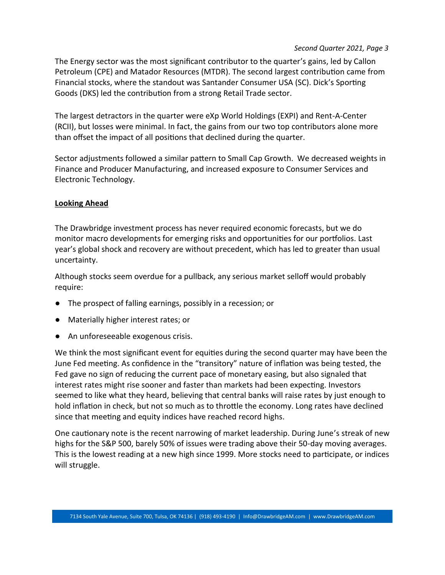#### *Second Quarter 2021, Page 3*

The Energy sector was the most significant contributor to the quarter's gains, led by Callon Petroleum (CPE) and Matador Resources (MTDR). The second largest contribution came from Financial stocks, where the standout was Santander Consumer USA (SC). Dick's Sporting Goods (DKS) led the contribution from a strong Retail Trade sector.

The largest detractors in the quarter were eXp World Holdings (EXPI) and Rent-A-Center (RCII), but losses were minimal. In fact, the gains from our two top contributors alone more than offset the impact of all positions that declined during the quarter.

Sector adjustments followed a similar pattern to Small Cap Growth. We decreased weights in Finance and Producer Manufacturing, and increased exposure to Consumer Services and Electronic Technology.

#### **Looking Ahead**

The Drawbridge investment process has never required economic forecasts, but we do monitor macro developments for emerging risks and opportunities for our portfolios. Last year's global shock and recovery are without precedent, which has led to greater than usual uncertainty.

Although stocks seem overdue for a pullback, any serious market selloff would probably require:

- The prospect of falling earnings, possibly in a recession; or
- Materially higher interest rates; or
- An unforeseeable exogenous crisis.

We think the most significant event for equities during the second quarter may have been the June Fed meeting. As confidence in the "transitory" nature of inflation was being tested, the Fed gave no sign of reducing the current pace of monetary easing, but also signaled that interest rates might rise sooner and faster than markets had been expecting. Investors seemed to like what they heard, believing that central banks will raise rates by just enough to hold inflation in check, but not so much as to throttle the economy. Long rates have declined since that meeting and equity indices have reached record highs.

One cautionary note is the recent narrowing of market leadership. During June's streak of new highs for the S&P 500, barely 50% of issues were trading above their 50-day moving averages. This is the lowest reading at a new high since 1999. More stocks need to participate, or indices will struggle.